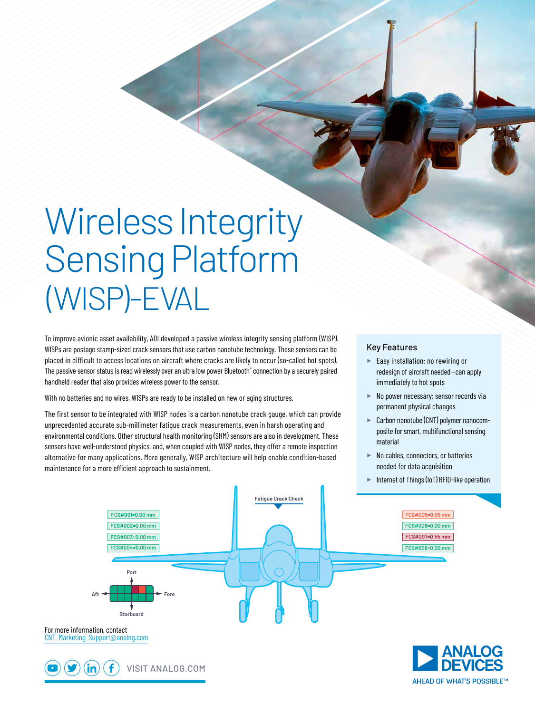## Wireless Integrity Sensing Platform (WISP)-EVAL

To improve avionic asset availability, ADI developed a passive wireless integrity sensing platform (WISP). WISPs are postage stamp-sized crack sensors that use carbon nanotube technology. These sensors can be placed in difficult to access locations on aircraft where cracks are likely to occur (so-called hot spots). The passive sensor status is read wirelessly over an ultra low power Bluetooth® connection by a securely paired handheld reader that also provides wireless power to the sensor.

With no batteries and no wires, WISPs are ready to be installed on new or aging structures.

.in

The first sensor to be integrated with WISP nodes is a carbon nanotube crack gauge, which can provide unprecedented accurate sub-millimeter fatigue crack measurements, even in harsh operating and environmental conditions. Other structural health monitoring (SHM) sensors are also in development. These sensors have well-understood physics, and, when coupled with WISP nodes, they offer a remote inspection alternative for many applications. More generally, WISP architecture will help enable condition-based maintenance for a more efficient approach to sustainment.

## Key Features

- ► Easy installation: no rewiring or redesign of aircraft needed-can apply immediately to hot spots
- ► No power necessary: sensor records via permanent physical changes
- ► Carbon nanotube (CNT) polymer nanocomposite for smart, multifunctional sensing material
- ► No cables, connectors, or batteries needed for data acquisition
- ► Internet of Things (IoT) RFID-like operation